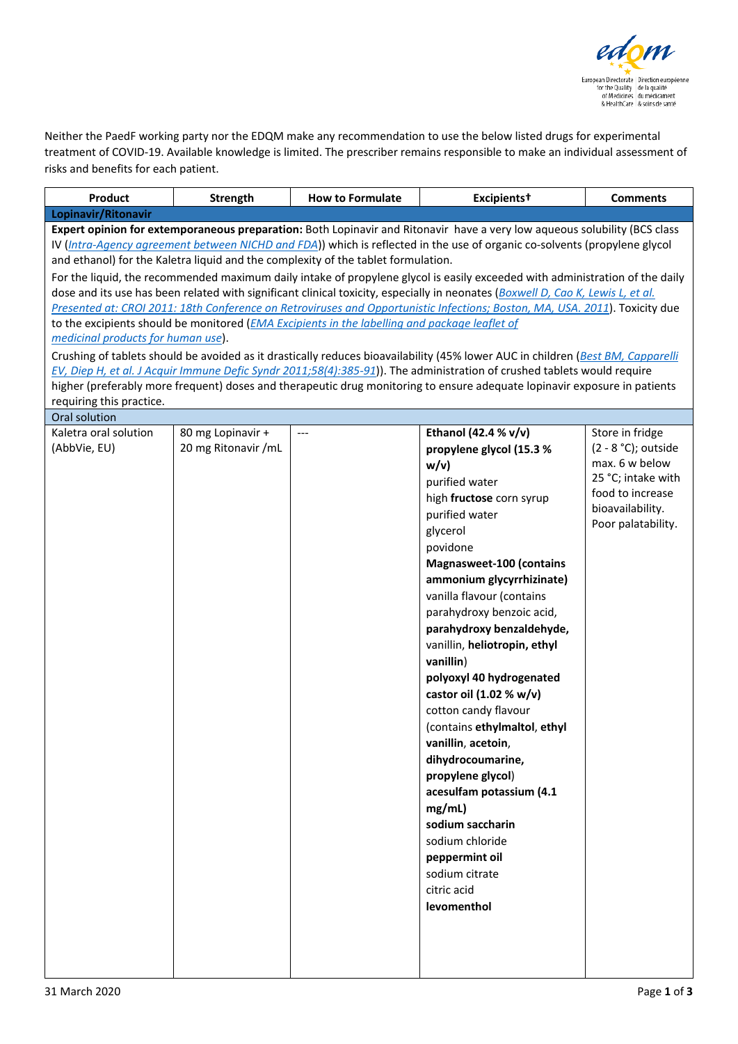

Neither the PaedF working party nor the EDQM make any recommendation to use the below listed drugs for experimental treatment of COVID-19. Available knowledge is limited. The prescriber remains responsible to make an individual assessment of risks and benefits for each patient.

| Product                                                                                                                                                                                                                                                                                                                                                                                                                                                                                                                                                                                                                                                                                                                                                                                                                                                | <b>Strength</b>                          | <b>How to Formulate</b> | Excipients <sup>t</sup>                                                                                                                                                                                                                                                                                                                                                                                                                                                                                                                                                                                                                                                           | <b>Comments</b>                                                                                                                                 |  |  |  |  |
|--------------------------------------------------------------------------------------------------------------------------------------------------------------------------------------------------------------------------------------------------------------------------------------------------------------------------------------------------------------------------------------------------------------------------------------------------------------------------------------------------------------------------------------------------------------------------------------------------------------------------------------------------------------------------------------------------------------------------------------------------------------------------------------------------------------------------------------------------------|------------------------------------------|-------------------------|-----------------------------------------------------------------------------------------------------------------------------------------------------------------------------------------------------------------------------------------------------------------------------------------------------------------------------------------------------------------------------------------------------------------------------------------------------------------------------------------------------------------------------------------------------------------------------------------------------------------------------------------------------------------------------------|-------------------------------------------------------------------------------------------------------------------------------------------------|--|--|--|--|
| Lopinavir/Ritonavir                                                                                                                                                                                                                                                                                                                                                                                                                                                                                                                                                                                                                                                                                                                                                                                                                                    |                                          |                         |                                                                                                                                                                                                                                                                                                                                                                                                                                                                                                                                                                                                                                                                                   |                                                                                                                                                 |  |  |  |  |
| Expert opinion for extemporaneous preparation: Both Lopinavir and Ritonavir have a very low aqueous solubility (BCS class<br>IV (Intra-Agency agreement between NICHD and FDA)) which is reflected in the use of organic co-solvents (propylene glycol<br>and ethanol) for the Kaletra liquid and the complexity of the tablet formulation.<br>For the liquid, the recommended maximum daily intake of propylene glycol is easily exceeded with administration of the daily<br>dose and its use has been related with significant clinical toxicity, especially in neonates (Boxwell D, Cao K, Lewis L, et al.<br>Presented at: CROI 2011: 18th Conference on Retroviruses and Opportunistic Infections; Boston, MA, USA. 2011). Toxicity due<br>to the excipients should be monitored ( <i>EMA Excipients in the labelling and package leaflet of</i> |                                          |                         |                                                                                                                                                                                                                                                                                                                                                                                                                                                                                                                                                                                                                                                                                   |                                                                                                                                                 |  |  |  |  |
| medicinal products for human use).<br>Crushing of tablets should be avoided as it drastically reduces bioavailability (45% lower AUC in children (Best BM, Capparelli<br>EV, Diep H, et al. J Acquir Immune Defic Syndr 2011;58(4):385-91). The administration of crushed tablets would require<br>higher (preferably more frequent) doses and therapeutic drug monitoring to ensure adequate lopinavir exposure in patients<br>requiring this practice.                                                                                                                                                                                                                                                                                                                                                                                               |                                          |                         |                                                                                                                                                                                                                                                                                                                                                                                                                                                                                                                                                                                                                                                                                   |                                                                                                                                                 |  |  |  |  |
| Oral solution                                                                                                                                                                                                                                                                                                                                                                                                                                                                                                                                                                                                                                                                                                                                                                                                                                          |                                          |                         |                                                                                                                                                                                                                                                                                                                                                                                                                                                                                                                                                                                                                                                                                   |                                                                                                                                                 |  |  |  |  |
| Kaletra oral solution<br>(AbbVie, EU)                                                                                                                                                                                                                                                                                                                                                                                                                                                                                                                                                                                                                                                                                                                                                                                                                  | 80 mg Lopinavir +<br>20 mg Ritonavir /mL | ---                     | Ethanol (42.4 % v/v)<br>propylene glycol (15.3 %<br>w/v<br>purified water<br>high fructose corn syrup<br>purified water<br>glycerol<br>povidone<br><b>Magnasweet-100 (contains</b><br>ammonium glycyrrhizinate)<br>vanilla flavour (contains<br>parahydroxy benzoic acid,<br>parahydroxy benzaldehyde,<br>vanillin, heliotropin, ethyl<br>vanillin)<br>polyoxyl 40 hydrogenated<br>castor oil (1.02 % w/v)<br>cotton candy flavour<br>(contains ethylmaltol, ethyl<br>vanillin, acetoin,<br>dihydrocoumarine,<br>propylene glycol)<br>acesulfam potassium (4.1<br>mg/mL)<br>sodium saccharin<br>sodium chloride<br>peppermint oil<br>sodium citrate<br>citric acid<br>levomenthol | Store in fridge<br>$(2 - 8 °C)$ ; outside<br>max. 6 w below<br>25 °C; intake with<br>food to increase<br>bioavailability.<br>Poor palatability. |  |  |  |  |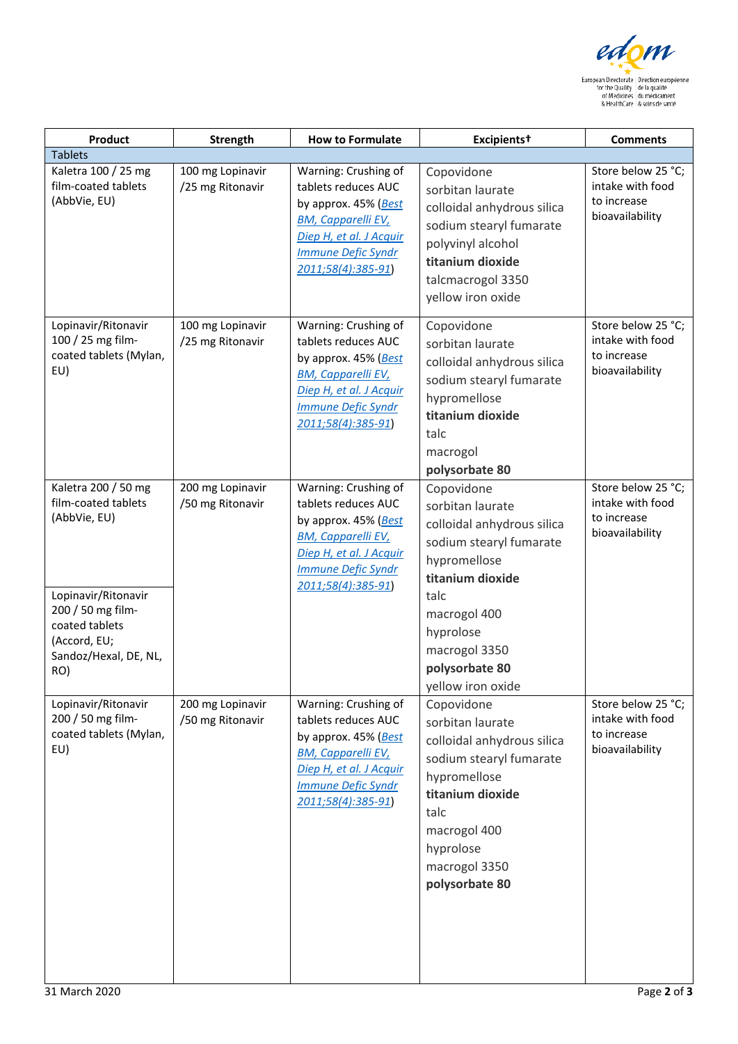

| Product                                                                                                                                                                  | Strength                             | <b>How to Formulate</b>                                                                                                                                                        | Excipients <sup>t</sup>                                                                                                                                                                                                  | <b>Comments</b>                                                          |
|--------------------------------------------------------------------------------------------------------------------------------------------------------------------------|--------------------------------------|--------------------------------------------------------------------------------------------------------------------------------------------------------------------------------|--------------------------------------------------------------------------------------------------------------------------------------------------------------------------------------------------------------------------|--------------------------------------------------------------------------|
| <b>Tablets</b>                                                                                                                                                           |                                      |                                                                                                                                                                                |                                                                                                                                                                                                                          |                                                                          |
| Kaletra 100 / 25 mg<br>film-coated tablets<br>(AbbVie, EU)                                                                                                               | 100 mg Lopinavir<br>/25 mg Ritonavir | Warning: Crushing of<br>tablets reduces AUC<br>by approx. 45% (Best<br><b>BM, Capparelli EV,</b><br>Diep H, et al. J Acquir<br><b>Immune Defic Syndr</b><br>2011;58(4):385-91) | Copovidone<br>sorbitan laurate<br>colloidal anhydrous silica<br>sodium stearyl fumarate<br>polyvinyl alcohol<br>titanium dioxide<br>talcmacrogol 3350<br>yellow iron oxide                                               | Store below 25 °C;<br>intake with food<br>to increase<br>bioavailability |
| Lopinavir/Ritonavir<br>100 / 25 mg film-<br>coated tablets (Mylan,<br>EU)                                                                                                | 100 mg Lopinavir<br>/25 mg Ritonavir | Warning: Crushing of<br>tablets reduces AUC<br>by approx. 45% (Best<br><b>BM, Capparelli EV,</b><br>Diep H, et al. J Acquir<br><b>Immune Defic Syndr</b><br>2011;58(4):385-91) | Copovidone<br>sorbitan laurate<br>colloidal anhydrous silica<br>sodium stearyl fumarate<br>hypromellose<br>titanium dioxide<br>talc<br>macrogol<br>polysorbate 80                                                        | Store below 25 °C;<br>intake with food<br>to increase<br>bioavailability |
| Kaletra 200 / 50 mg<br>film-coated tablets<br>(AbbVie, EU)<br>Lopinavir/Ritonavir<br>200 / 50 mg film-<br>coated tablets<br>(Accord, EU;<br>Sandoz/Hexal, DE, NL,<br>RO) | 200 mg Lopinavir<br>/50 mg Ritonavir | Warning: Crushing of<br>tablets reduces AUC<br>by approx. 45% (Best<br><b>BM, Capparelli EV,</b><br>Diep H, et al. J Acquir<br><b>Immune Defic Syndr</b><br>2011;58(4):385-91) | Copovidone<br>sorbitan laurate<br>colloidal anhydrous silica<br>sodium stearyl fumarate<br>hypromellose<br>titanium dioxide<br>talc<br>macrogol 400<br>hyprolose<br>macrogol 3350<br>polysorbate 80<br>yellow iron oxide | Store below 25 °C;<br>intake with food<br>to increase<br>bioavailability |
| Lopinavir/Ritonavir<br>200 / 50 mg film-<br>coated tablets (Mylan,<br>EU)                                                                                                | 200 mg Lopinavir<br>/50 mg Ritonavir | Warning: Crushing of<br>tablets reduces AUC<br>by approx. 45% (Best<br><b>BM, Capparelli EV,</b><br>Diep H, et al. J Acquir<br><b>Immune Defic Syndr</b><br>2011;58(4):385-91) | Copovidone<br>sorbitan laurate<br>colloidal anhydrous silica<br>sodium stearyl fumarate<br>hypromellose<br>titanium dioxide<br>talc<br>macrogol 400<br>hyprolose<br>macrogol 3350<br>polysorbate 80                      | Store below 25 °C;<br>intake with food<br>to increase<br>bioavailability |